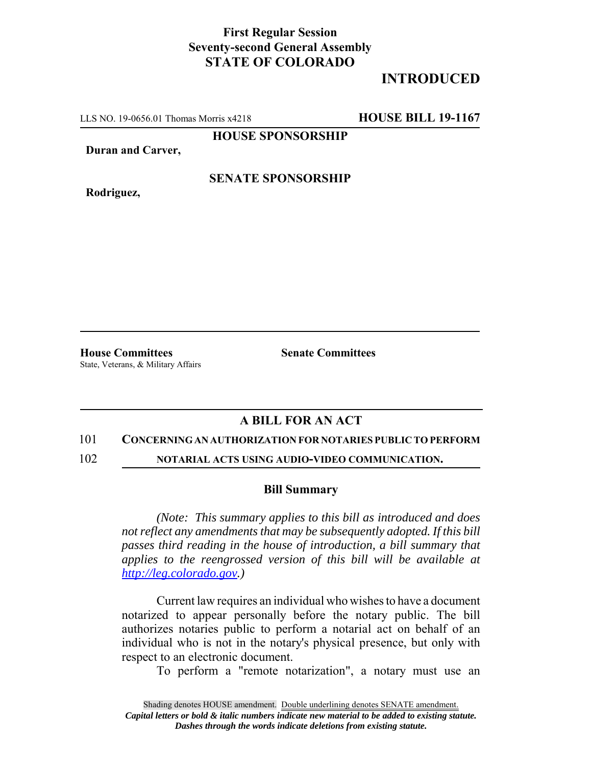## **First Regular Session Seventy-second General Assembly STATE OF COLORADO**

# **INTRODUCED**

LLS NO. 19-0656.01 Thomas Morris x4218 **HOUSE BILL 19-1167**

**HOUSE SPONSORSHIP**

**Duran and Carver,**

**Rodriguez,**

### **SENATE SPONSORSHIP**

**House Committees Senate Committees** State, Veterans, & Military Affairs

### **A BILL FOR AN ACT**

#### 101 **CONCERNING AN AUTHORIZATION FOR NOTARIES PUBLIC TO PERFORM**

102 **NOTARIAL ACTS USING AUDIO-VIDEO COMMUNICATION.**

#### **Bill Summary**

*(Note: This summary applies to this bill as introduced and does not reflect any amendments that may be subsequently adopted. If this bill passes third reading in the house of introduction, a bill summary that applies to the reengrossed version of this bill will be available at http://leg.colorado.gov.)*

Current law requires an individual who wishes to have a document notarized to appear personally before the notary public. The bill authorizes notaries public to perform a notarial act on behalf of an individual who is not in the notary's physical presence, but only with respect to an electronic document.

To perform a "remote notarization", a notary must use an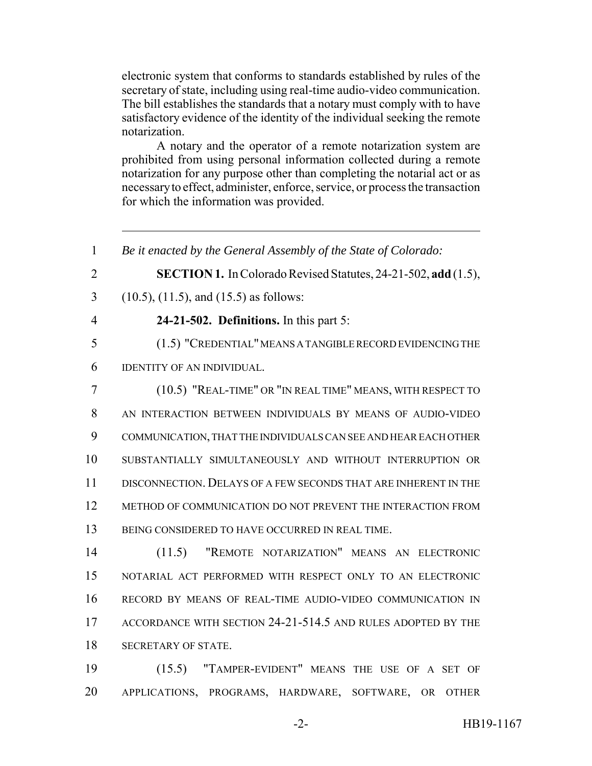electronic system that conforms to standards established by rules of the secretary of state, including using real-time audio-video communication. The bill establishes the standards that a notary must comply with to have satisfactory evidence of the identity of the individual seeking the remote notarization.

A notary and the operator of a remote notarization system are prohibited from using personal information collected during a remote notarization for any purpose other than completing the notarial act or as necessary to effect, administer, enforce, service, or process the transaction for which the information was provided.

 *Be it enacted by the General Assembly of the State of Colorado:* **SECTION 1.** In Colorado Revised Statutes, 24-21-502, **add** (1.5), (10.5), (11.5), and (15.5) as follows: **24-21-502. Definitions.** In this part 5: (1.5) "CREDENTIAL" MEANS A TANGIBLE RECORD EVIDENCING THE IDENTITY OF AN INDIVIDUAL. (10.5) "REAL-TIME" OR "IN REAL TIME" MEANS, WITH RESPECT TO AN INTERACTION BETWEEN INDIVIDUALS BY MEANS OF AUDIO-VIDEO COMMUNICATION, THAT THE INDIVIDUALS CAN SEE AND HEAR EACH OTHER SUBSTANTIALLY SIMULTANEOUSLY AND WITHOUT INTERRUPTION OR DISCONNECTION. DELAYS OF A FEW SECONDS THAT ARE INHERENT IN THE METHOD OF COMMUNICATION DO NOT PREVENT THE INTERACTION FROM BEING CONSIDERED TO HAVE OCCURRED IN REAL TIME. (11.5) "REMOTE NOTARIZATION" MEANS AN ELECTRONIC NOTARIAL ACT PERFORMED WITH RESPECT ONLY TO AN ELECTRONIC RECORD BY MEANS OF REAL-TIME AUDIO-VIDEO COMMUNICATION IN ACCORDANCE WITH SECTION 24-21-514.5 AND RULES ADOPTED BY THE SECRETARY OF STATE. (15.5) "TAMPER-EVIDENT" MEANS THE USE OF A SET OF

APPLICATIONS, PROGRAMS, HARDWARE, SOFTWARE, OR OTHER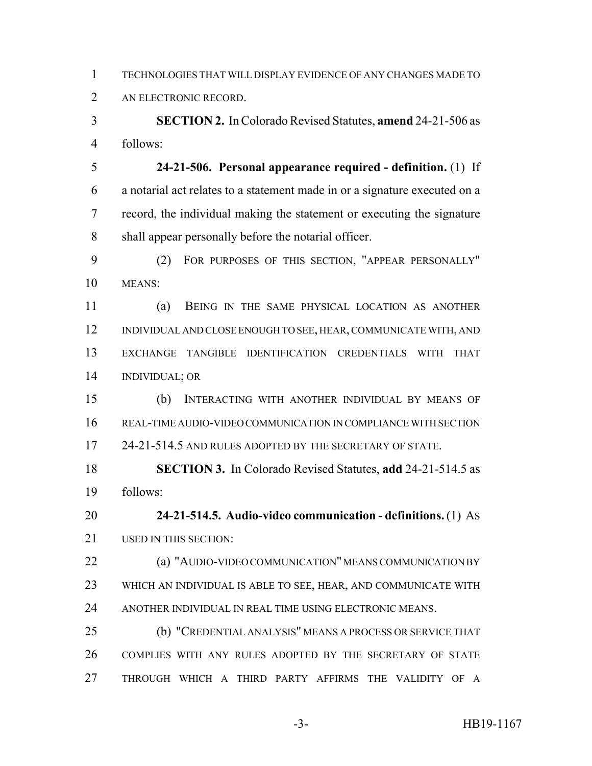| TECHNOLOGIES THAT WILL DISPLAY EVIDENCE OF ANY CHANGES MADE TO |
|----------------------------------------------------------------|
| AN ELECTRONIC RECORD.                                          |

 **SECTION 2.** In Colorado Revised Statutes, **amend** 24-21-506 as follows:

 **24-21-506. Personal appearance required - definition.** (1) If a notarial act relates to a statement made in or a signature executed on a record, the individual making the statement or executing the signature shall appear personally before the notarial officer.

 (2) FOR PURPOSES OF THIS SECTION, "APPEAR PERSONALLY" MEANS:

 (a) BEING IN THE SAME PHYSICAL LOCATION AS ANOTHER INDIVIDUAL AND CLOSE ENOUGH TO SEE, HEAR, COMMUNICATE WITH, AND EXCHANGE TANGIBLE IDENTIFICATION CREDENTIALS WITH THAT INDIVIDUAL; OR

 (b) INTERACTING WITH ANOTHER INDIVIDUAL BY MEANS OF REAL-TIME AUDIO-VIDEO COMMUNICATION IN COMPLIANCE WITH SECTION 17 24-21-514.5 AND RULES ADOPTED BY THE SECRETARY OF STATE.

 **SECTION 3.** In Colorado Revised Statutes, **add** 24-21-514.5 as follows:

 **24-21-514.5. Audio-video communication - definitions.** (1) AS 21 USED IN THIS SECTION:

 (a) "AUDIO-VIDEO COMMUNICATION" MEANS COMMUNICATION BY WHICH AN INDIVIDUAL IS ABLE TO SEE, HEAR, AND COMMUNICATE WITH ANOTHER INDIVIDUAL IN REAL TIME USING ELECTRONIC MEANS.

 (b) "CREDENTIAL ANALYSIS" MEANS A PROCESS OR SERVICE THAT COMPLIES WITH ANY RULES ADOPTED BY THE SECRETARY OF STATE THROUGH WHICH A THIRD PARTY AFFIRMS THE VALIDITY OF A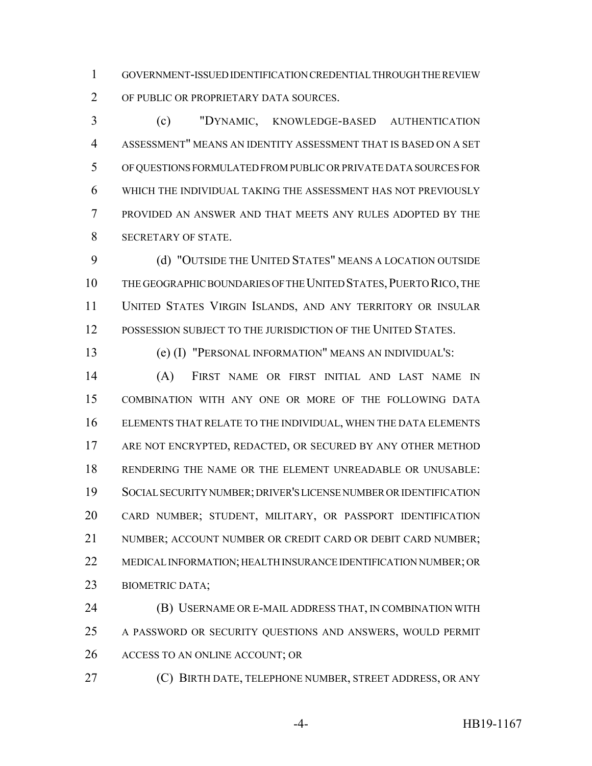GOVERNMENT-ISSUED IDENTIFICATION CREDENTIAL THROUGH THE REVIEW OF PUBLIC OR PROPRIETARY DATA SOURCES.

 (c) "DYNAMIC, KNOWLEDGE-BASED AUTHENTICATION ASSESSMENT" MEANS AN IDENTITY ASSESSMENT THAT IS BASED ON A SET OF QUESTIONS FORMULATED FROM PUBLIC OR PRIVATE DATA SOURCES FOR WHICH THE INDIVIDUAL TAKING THE ASSESSMENT HAS NOT PREVIOUSLY PROVIDED AN ANSWER AND THAT MEETS ANY RULES ADOPTED BY THE SECRETARY OF STATE.

 (d) "OUTSIDE THE UNITED STATES" MEANS A LOCATION OUTSIDE THE GEOGRAPHIC BOUNDARIES OF THE UNITED STATES,PUERTO RICO, THE UNITED STATES VIRGIN ISLANDS, AND ANY TERRITORY OR INSULAR POSSESSION SUBJECT TO THE JURISDICTION OF THE UNITED STATES.

(e) (I) "PERSONAL INFORMATION" MEANS AN INDIVIDUAL'S:

 (A) FIRST NAME OR FIRST INITIAL AND LAST NAME IN COMBINATION WITH ANY ONE OR MORE OF THE FOLLOWING DATA ELEMENTS THAT RELATE TO THE INDIVIDUAL, WHEN THE DATA ELEMENTS ARE NOT ENCRYPTED, REDACTED, OR SECURED BY ANY OTHER METHOD RENDERING THE NAME OR THE ELEMENT UNREADABLE OR UNUSABLE: SOCIAL SECURITY NUMBER; DRIVER'S LICENSE NUMBER OR IDENTIFICATION CARD NUMBER; STUDENT, MILITARY, OR PASSPORT IDENTIFICATION 21 NUMBER; ACCOUNT NUMBER OR CREDIT CARD OR DEBIT CARD NUMBER; MEDICAL INFORMATION; HEALTH INSURANCE IDENTIFICATION NUMBER; OR BIOMETRIC DATA;

 (B) USERNAME OR E-MAIL ADDRESS THAT, IN COMBINATION WITH A PASSWORD OR SECURITY QUESTIONS AND ANSWERS, WOULD PERMIT ACCESS TO AN ONLINE ACCOUNT; OR

(C) BIRTH DATE, TELEPHONE NUMBER, STREET ADDRESS, OR ANY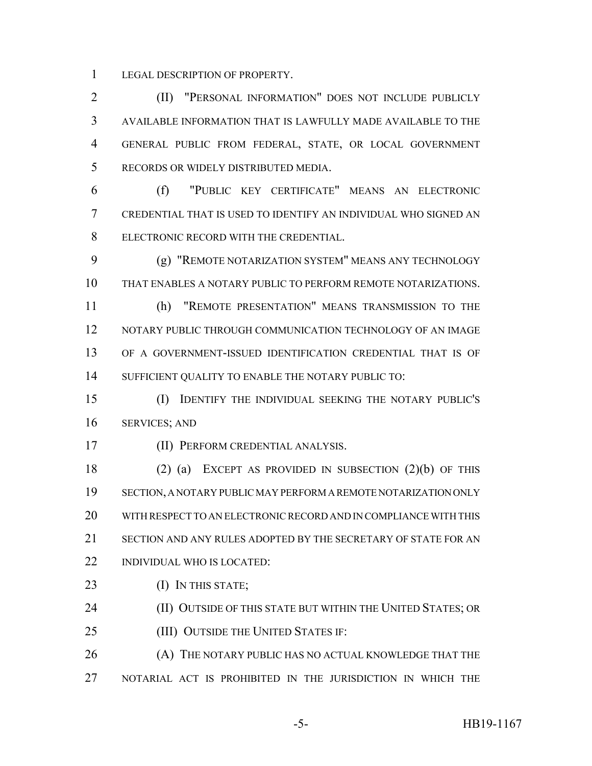LEGAL DESCRIPTION OF PROPERTY.

 (II) "PERSONAL INFORMATION" DOES NOT INCLUDE PUBLICLY AVAILABLE INFORMATION THAT IS LAWFULLY MADE AVAILABLE TO THE GENERAL PUBLIC FROM FEDERAL, STATE, OR LOCAL GOVERNMENT RECORDS OR WIDELY DISTRIBUTED MEDIA.

 (f) "PUBLIC KEY CERTIFICATE" MEANS AN ELECTRONIC CREDENTIAL THAT IS USED TO IDENTIFY AN INDIVIDUAL WHO SIGNED AN ELECTRONIC RECORD WITH THE CREDENTIAL.

 (g) "REMOTE NOTARIZATION SYSTEM" MEANS ANY TECHNOLOGY THAT ENABLES A NOTARY PUBLIC TO PERFORM REMOTE NOTARIZATIONS.

 (h) "REMOTE PRESENTATION" MEANS TRANSMISSION TO THE NOTARY PUBLIC THROUGH COMMUNICATION TECHNOLOGY OF AN IMAGE OF A GOVERNMENT-ISSUED IDENTIFICATION CREDENTIAL THAT IS OF SUFFICIENT QUALITY TO ENABLE THE NOTARY PUBLIC TO:

 (I) IDENTIFY THE INDIVIDUAL SEEKING THE NOTARY PUBLIC'S SERVICES; AND

(II) PERFORM CREDENTIAL ANALYSIS.

 (2) (a) EXCEPT AS PROVIDED IN SUBSECTION (2)(b) OF THIS SECTION, A NOTARY PUBLIC MAY PERFORM A REMOTE NOTARIZATION ONLY WITH RESPECT TO AN ELECTRONIC RECORD AND IN COMPLIANCE WITH THIS SECTION AND ANY RULES ADOPTED BY THE SECRETARY OF STATE FOR AN INDIVIDUAL WHO IS LOCATED:

23 (I) IN THIS STATE;

**(II) OUTSIDE OF THIS STATE BUT WITHIN THE UNITED STATES; OR** 

**(III) OUTSIDE THE UNITED STATES IF:** 

26 (A) THE NOTARY PUBLIC HAS NO ACTUAL KNOWLEDGE THAT THE NOTARIAL ACT IS PROHIBITED IN THE JURISDICTION IN WHICH THE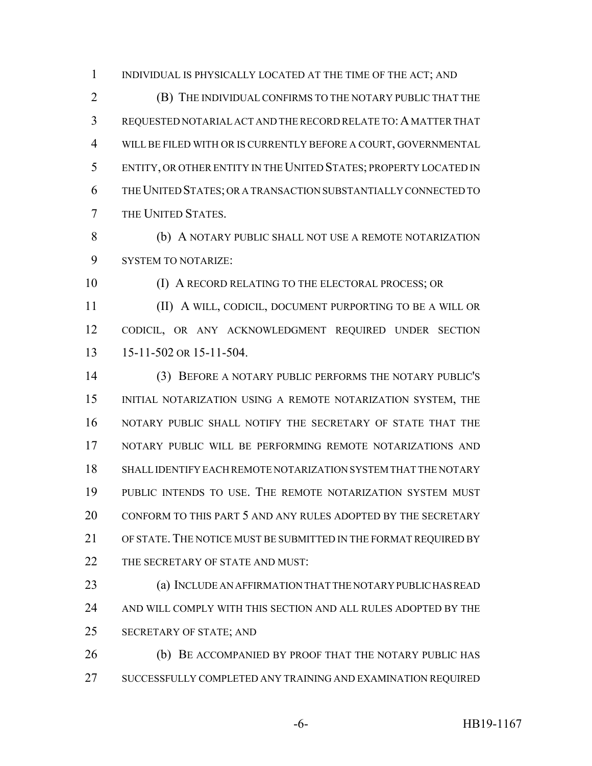INDIVIDUAL IS PHYSICALLY LOCATED AT THE TIME OF THE ACT; AND

 (B) THE INDIVIDUAL CONFIRMS TO THE NOTARY PUBLIC THAT THE REQUESTED NOTARIAL ACT AND THE RECORD RELATE TO:A MATTER THAT WILL BE FILED WITH OR IS CURRENTLY BEFORE A COURT, GOVERNMENTAL ENTITY, OR OTHER ENTITY IN THE UNITED STATES; PROPERTY LOCATED IN THE UNITED STATES; OR A TRANSACTION SUBSTANTIALLY CONNECTED TO THE UNITED STATES.

8 (b) A NOTARY PUBLIC SHALL NOT USE A REMOTE NOTARIZATION SYSTEM TO NOTARIZE:

(I) A RECORD RELATING TO THE ELECTORAL PROCESS; OR

 (II) A WILL, CODICIL, DOCUMENT PURPORTING TO BE A WILL OR CODICIL, OR ANY ACKNOWLEDGMENT REQUIRED UNDER SECTION 15-11-502 OR 15-11-504.

 (3) BEFORE A NOTARY PUBLIC PERFORMS THE NOTARY PUBLIC'S INITIAL NOTARIZATION USING A REMOTE NOTARIZATION SYSTEM, THE NOTARY PUBLIC SHALL NOTIFY THE SECRETARY OF STATE THAT THE NOTARY PUBLIC WILL BE PERFORMING REMOTE NOTARIZATIONS AND SHALL IDENTIFY EACH REMOTE NOTARIZATION SYSTEM THAT THE NOTARY PUBLIC INTENDS TO USE. THE REMOTE NOTARIZATION SYSTEM MUST CONFORM TO THIS PART 5 AND ANY RULES ADOPTED BY THE SECRETARY OF STATE. THE NOTICE MUST BE SUBMITTED IN THE FORMAT REQUIRED BY 22 THE SECRETARY OF STATE AND MUST:

 (a) INCLUDE AN AFFIRMATION THAT THE NOTARY PUBLIC HAS READ AND WILL COMPLY WITH THIS SECTION AND ALL RULES ADOPTED BY THE SECRETARY OF STATE; AND

26 (b) BE ACCOMPANIED BY PROOF THAT THE NOTARY PUBLIC HAS SUCCESSFULLY COMPLETED ANY TRAINING AND EXAMINATION REQUIRED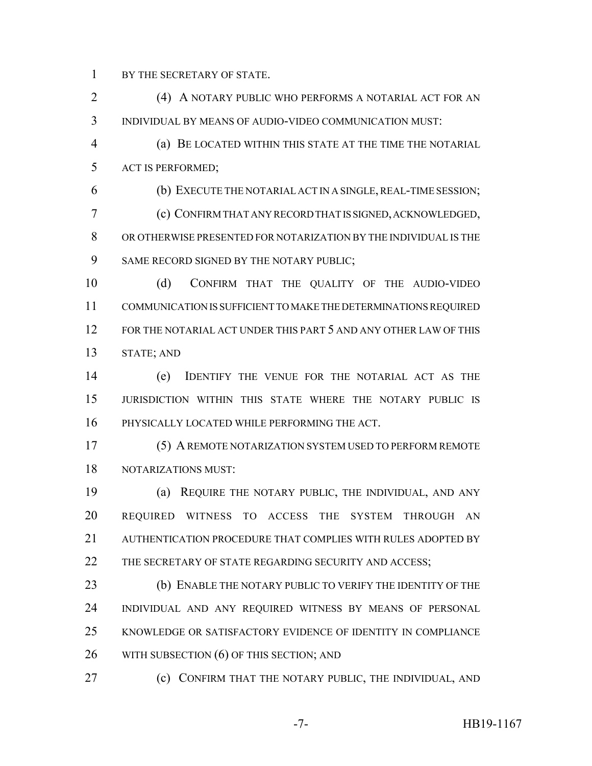BY THE SECRETARY OF STATE.

 (4) A NOTARY PUBLIC WHO PERFORMS A NOTARIAL ACT FOR AN INDIVIDUAL BY MEANS OF AUDIO-VIDEO COMMUNICATION MUST:

 (a) BE LOCATED WITHIN THIS STATE AT THE TIME THE NOTARIAL ACT IS PERFORMED;

 (b) EXECUTE THE NOTARIAL ACT IN A SINGLE, REAL-TIME SESSION; (c) CONFIRM THAT ANY RECORD THAT IS SIGNED, ACKNOWLEDGED, OR OTHERWISE PRESENTED FOR NOTARIZATION BY THE INDIVIDUAL IS THE 9 SAME RECORD SIGNED BY THE NOTARY PUBLIC;

 (d) CONFIRM THAT THE QUALITY OF THE AUDIO-VIDEO COMMUNICATION IS SUFFICIENT TO MAKE THE DETERMINATIONS REQUIRED FOR THE NOTARIAL ACT UNDER THIS PART 5 AND ANY OTHER LAW OF THIS STATE; AND

 (e) IDENTIFY THE VENUE FOR THE NOTARIAL ACT AS THE JURISDICTION WITHIN THIS STATE WHERE THE NOTARY PUBLIC IS PHYSICALLY LOCATED WHILE PERFORMING THE ACT.

 (5) A REMOTE NOTARIZATION SYSTEM USED TO PERFORM REMOTE NOTARIZATIONS MUST:

 (a) REQUIRE THE NOTARY PUBLIC, THE INDIVIDUAL, AND ANY REQUIRED WITNESS TO ACCESS THE SYSTEM THROUGH AN 21 AUTHENTICATION PROCEDURE THAT COMPLIES WITH RULES ADOPTED BY 22 THE SECRETARY OF STATE REGARDING SECURITY AND ACCESS;

 (b) ENABLE THE NOTARY PUBLIC TO VERIFY THE IDENTITY OF THE INDIVIDUAL AND ANY REQUIRED WITNESS BY MEANS OF PERSONAL KNOWLEDGE OR SATISFACTORY EVIDENCE OF IDENTITY IN COMPLIANCE 26 WITH SUBSECTION (6) OF THIS SECTION; AND

(c) CONFIRM THAT THE NOTARY PUBLIC, THE INDIVIDUAL, AND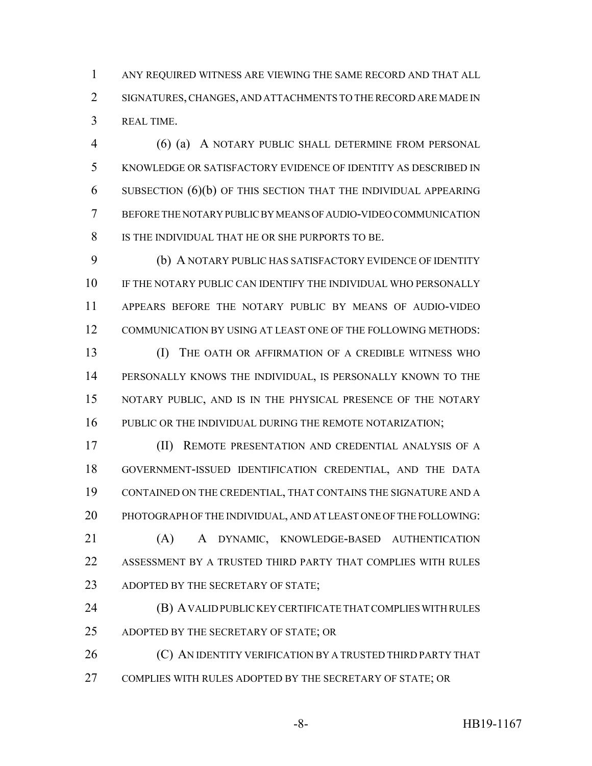ANY REQUIRED WITNESS ARE VIEWING THE SAME RECORD AND THAT ALL SIGNATURES, CHANGES, AND ATTACHMENTS TO THE RECORD ARE MADE IN REAL TIME.

 (6) (a) A NOTARY PUBLIC SHALL DETERMINE FROM PERSONAL KNOWLEDGE OR SATISFACTORY EVIDENCE OF IDENTITY AS DESCRIBED IN SUBSECTION (6)(b) OF THIS SECTION THAT THE INDIVIDUAL APPEARING BEFORE THE NOTARY PUBLIC BY MEANS OF AUDIO-VIDEO COMMUNICATION IS THE INDIVIDUAL THAT HE OR SHE PURPORTS TO BE.

 (b) A NOTARY PUBLIC HAS SATISFACTORY EVIDENCE OF IDENTITY IF THE NOTARY PUBLIC CAN IDENTIFY THE INDIVIDUAL WHO PERSONALLY APPEARS BEFORE THE NOTARY PUBLIC BY MEANS OF AUDIO-VIDEO COMMUNICATION BY USING AT LEAST ONE OF THE FOLLOWING METHODS:

 (I) THE OATH OR AFFIRMATION OF A CREDIBLE WITNESS WHO PERSONALLY KNOWS THE INDIVIDUAL, IS PERSONALLY KNOWN TO THE NOTARY PUBLIC, AND IS IN THE PHYSICAL PRESENCE OF THE NOTARY 16 PUBLIC OR THE INDIVIDUAL DURING THE REMOTE NOTARIZATION;

 (II) REMOTE PRESENTATION AND CREDENTIAL ANALYSIS OF A GOVERNMENT-ISSUED IDENTIFICATION CREDENTIAL, AND THE DATA CONTAINED ON THE CREDENTIAL, THAT CONTAINS THE SIGNATURE AND A PHOTOGRAPH OF THE INDIVIDUAL, AND AT LEAST ONE OF THE FOLLOWING:

 (A) A DYNAMIC, KNOWLEDGE-BASED AUTHENTICATION ASSESSMENT BY A TRUSTED THIRD PARTY THAT COMPLIES WITH RULES 23 ADOPTED BY THE SECRETARY OF STATE;

 (B) A VALID PUBLIC KEY CERTIFICATE THAT COMPLIES WITH RULES ADOPTED BY THE SECRETARY OF STATE; OR

26 (C) AN IDENTITY VERIFICATION BY A TRUSTED THIRD PARTY THAT COMPLIES WITH RULES ADOPTED BY THE SECRETARY OF STATE; OR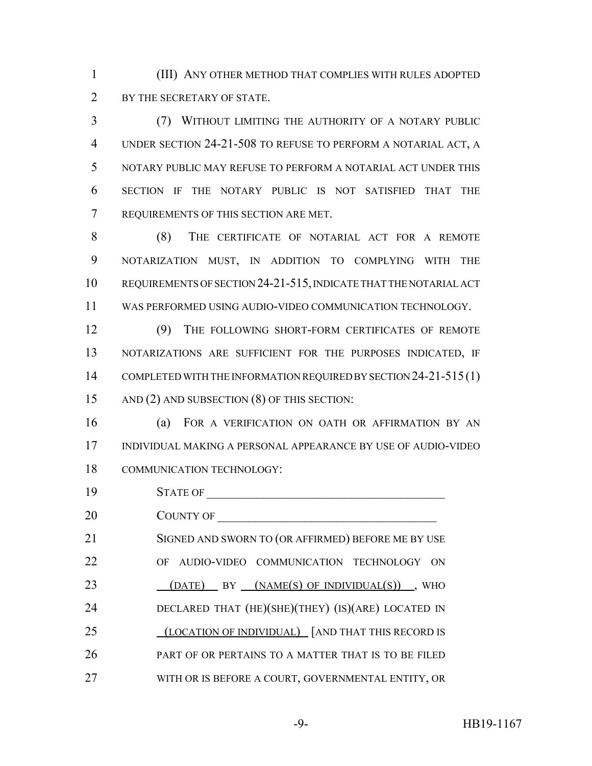(III) ANY OTHER METHOD THAT COMPLIES WITH RULES ADOPTED 2 BY THE SECRETARY OF STATE.

 (7) WITHOUT LIMITING THE AUTHORITY OF A NOTARY PUBLIC UNDER SECTION 24-21-508 TO REFUSE TO PERFORM A NOTARIAL ACT, A NOTARY PUBLIC MAY REFUSE TO PERFORM A NOTARIAL ACT UNDER THIS SECTION IF THE NOTARY PUBLIC IS NOT SATISFIED THAT THE REQUIREMENTS OF THIS SECTION ARE MET.

 (8) THE CERTIFICATE OF NOTARIAL ACT FOR A REMOTE NOTARIZATION MUST, IN ADDITION TO COMPLYING WITH THE REQUIREMENTS OF SECTION 24-21-515, INDICATE THAT THE NOTARIAL ACT WAS PERFORMED USING AUDIO-VIDEO COMMUNICATION TECHNOLOGY.

 (9) THE FOLLOWING SHORT-FORM CERTIFICATES OF REMOTE NOTARIZATIONS ARE SUFFICIENT FOR THE PURPOSES INDICATED, IF 14 COMPLETED WITH THE INFORMATION REQUIRED BY SECTION 24-21-515(1) AND (2) AND SUBSECTION (8) OF THIS SECTION:

 (a) FOR A VERIFICATION ON OATH OR AFFIRMATION BY AN INDIVIDUAL MAKING A PERSONAL APPEARANCE BY USE OF AUDIO-VIDEO COMMUNICATION TECHNOLOGY:

 STATE OF \_\_\_\_\_\_\_\_\_\_\_\_\_\_\_\_\_\_\_\_\_\_\_\_\_\_\_\_\_\_\_\_\_\_\_\_\_\_ 20 COUNTY OF 21 SIGNED AND SWORN TO (OR AFFIRMED) BEFORE ME BY USE OF AUDIO-VIDEO COMMUNICATION TECHNOLOGY ON 23 (DATE) BY (NAME(S) OF INDIVIDUAL(S)), WHO DECLARED THAT (HE)(SHE)(THEY) (IS)(ARE) LOCATED IN 25 (LOCATION OF INDIVIDUAL) [AND THAT THIS RECORD IS PART OF OR PERTAINS TO A MATTER THAT IS TO BE FILED WITH OR IS BEFORE A COURT, GOVERNMENTAL ENTITY, OR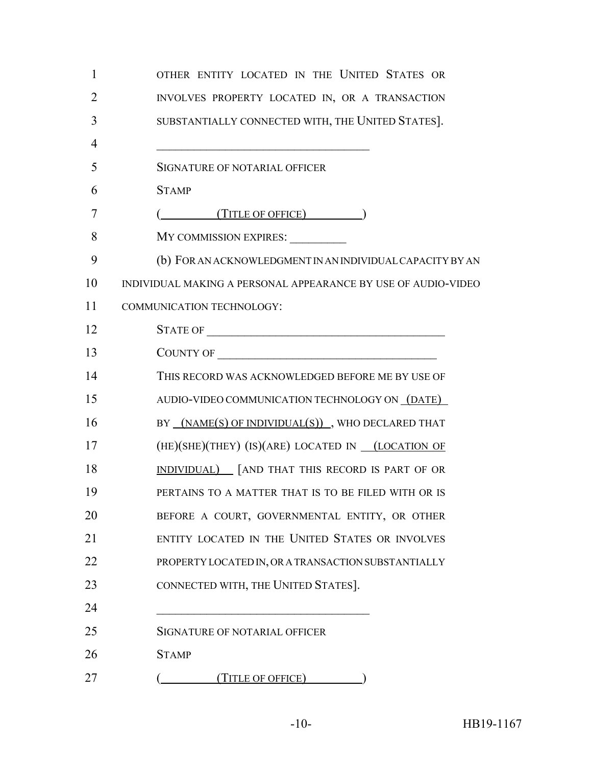| $\mathbf{1}$   | OTHER ENTITY LOCATED IN THE UNITED STATES OR                  |
|----------------|---------------------------------------------------------------|
| $\overline{2}$ | INVOLVES PROPERTY LOCATED IN, OR A TRANSACTION                |
| 3              | SUBSTANTIALLY CONNECTED WITH, THE UNITED STATES].             |
| 4              |                                                               |
| 5              | SIGNATURE OF NOTARIAL OFFICER                                 |
| 6              | <b>STAMP</b>                                                  |
| 7              | (TITLE OF OFFICE)                                             |
| 8              | MY COMMISSION EXPIRES:                                        |
| 9              | (b) FOR AN ACKNOWLEDGMENT IN AN INDIVIDUAL CAPACITY BY AN     |
| 10             | INDIVIDUAL MAKING A PERSONAL APPEARANCE BY USE OF AUDIO-VIDEO |
| 11             | COMMUNICATION TECHNOLOGY:                                     |
| 12             |                                                               |
| 13             | COUNTY OF                                                     |
| 14             | THIS RECORD WAS ACKNOWLEDGED BEFORE ME BY USE OF              |
| 15             | AUDIO-VIDEO COMMUNICATION TECHNOLOGY ON (DATE)                |
| 16             | BY (NAME(S) OF INDIVIDUAL(S)), WHO DECLARED THAT              |
| 17             | (HE)(SHE)(THEY) (IS)(ARE) LOCATED IN ___ (LOCATION OF         |
| 18             | INDIVIDUAL) [AND THAT THIS RECORD IS PART OF OR               |
| 19             | PERTAINS TO A MATTER THAT IS TO BE FILED WITH OR IS           |
| 20             | BEFORE A COURT, GOVERNMENTAL ENTITY, OR OTHER                 |
| 21             | ENTITY LOCATED IN THE UNITED STATES OR INVOLVES               |
| 22             | PROPERTY LOCATED IN, OR A TRANSACTION SUBSTANTIALLY           |
| 23             | CONNECTED WITH, THE UNITED STATES].                           |
| 24             |                                                               |
| 25             | SIGNATURE OF NOTARIAL OFFICER                                 |
| 26             | <b>STAMP</b>                                                  |
| 27             | (TITLE OF OFFICE)                                             |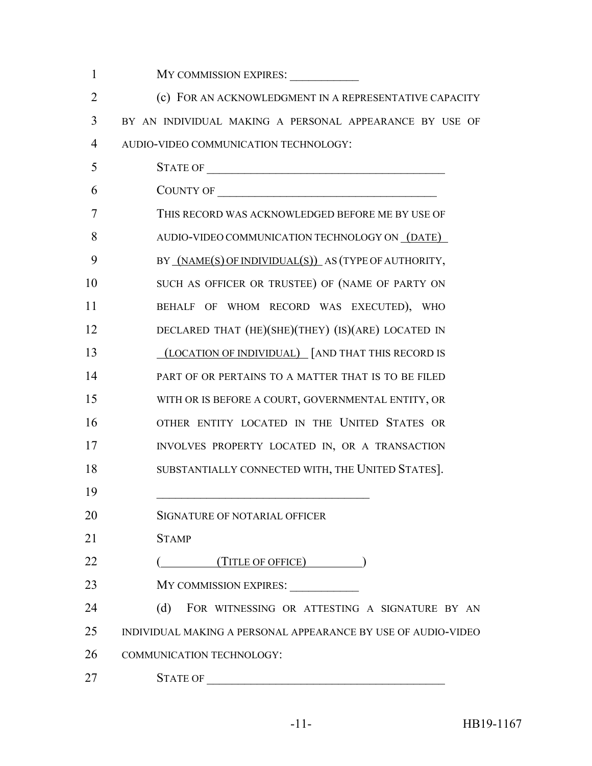| $\mathbf{1}$   | MY COMMISSION EXPIRES:                                        |
|----------------|---------------------------------------------------------------|
| $\overline{2}$ | (c) FOR AN ACKNOWLEDGMENT IN A REPRESENTATIVE CAPACITY        |
| 3              | BY AN INDIVIDUAL MAKING A PERSONAL APPEARANCE BY USE OF       |
| 4              | AUDIO-VIDEO COMMUNICATION TECHNOLOGY:                         |
| 5              |                                                               |
| 6              | COUNTY OF                                                     |
| 7              | THIS RECORD WAS ACKNOWLEDGED BEFORE ME BY USE OF              |
| 8              | AUDIO-VIDEO COMMUNICATION TECHNOLOGY ON (DATE)                |
| 9              | BY (NAME(S) OF INDIVIDUAL(S)) AS (TYPE OF AUTHORITY,          |
| 10             | SUCH AS OFFICER OR TRUSTEE) OF (NAME OF PARTY ON              |
| 11             | BEHALF OF WHOM RECORD WAS EXECUTED), WHO                      |
| 12             | DECLARED THAT (HE)(SHE)(THEY) (IS)(ARE) LOCATED IN            |
| 13             | (LOCATION OF INDIVIDUAL) [AND THAT THIS RECORD IS             |
| 14             | PART OF OR PERTAINS TO A MATTER THAT IS TO BE FILED           |
| 15             | WITH OR IS BEFORE A COURT, GOVERNMENTAL ENTITY, OR            |
| 16             | OTHER ENTITY LOCATED IN THE UNITED STATES OR                  |
| 17             | INVOLVES PROPERTY LOCATED IN, OR A TRANSACTION                |
| 18             | SUBSTANTIALLY CONNECTED WITH, THE UNITED STATES].             |
| 19             |                                                               |
| 20             | SIGNATURE OF NOTARIAL OFFICER                                 |
| 21             | <b>STAMP</b>                                                  |
| 22             | $($ (TITLE OF OFFICE) (                                       |
| 23             | MY COMMISSION EXPIRES: ____________                           |
| 24             | (d) FOR WITNESSING OR ATTESTING A SIGNATURE BY AN             |
| 25             | INDIVIDUAL MAKING A PERSONAL APPEARANCE BY USE OF AUDIO-VIDEO |
| 26             | COMMUNICATION TECHNOLOGY:                                     |
| 27             | <b>STATE OF</b>                                               |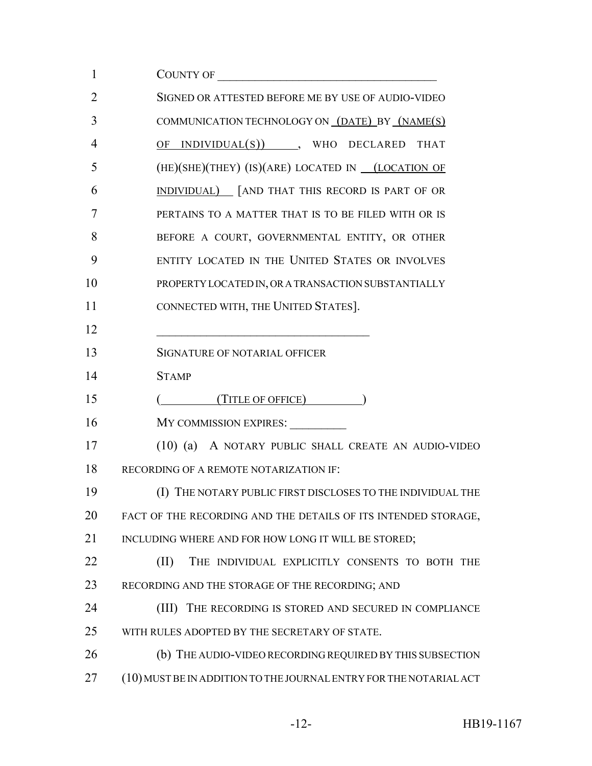| 1              | COUNTY OF                                                                                                            |
|----------------|----------------------------------------------------------------------------------------------------------------------|
| $\overline{2}$ | SIGNED OR ATTESTED BEFORE ME BY USE OF AUDIO-VIDEO                                                                   |
| 3              | COMMUNICATION TECHNOLOGY ON (DATE) BY (NAME(S)                                                                       |
| 4              | $OF$ INDIVIDUAL $(S)$ ), WHO DECLARED THAT                                                                           |
| 5              | $(HE)(SHE)(THEY)$ (IS)(ARE) LOCATED IN $_ (LOCATION OF$                                                              |
| 6              | <b>INDIVIDUAL</b> [AND THAT THIS RECORD IS PART OF OR                                                                |
| 7              | PERTAINS TO A MATTER THAT IS TO BE FILED WITH OR IS                                                                  |
| 8              | BEFORE A COURT, GOVERNMENTAL ENTITY, OR OTHER                                                                        |
| 9              | ENTITY LOCATED IN THE UNITED STATES OR INVOLVES                                                                      |
| 10             | PROPERTY LOCATED IN, OR A TRANSACTION SUBSTANTIALLY                                                                  |
| 11             | CONNECTED WITH, THE UNITED STATES].                                                                                  |
| 12             | <u> 1990 - Johann John Stone, mars and de la provincia de la provincia de la provincia de la provincia de la pro</u> |
| 13             | SIGNATURE OF NOTARIAL OFFICER                                                                                        |
| 14             | <b>STAMP</b>                                                                                                         |
| 15             | $($ (TITLE OF OFFICE) $($                                                                                            |
| 16             | MY COMMISSION EXPIRES: __________                                                                                    |
| 17             | (10) (a) A NOTARY PUBLIC SHALL CREATE AN AUDIO-VIDEO                                                                 |
| 18             | RECORDING OF A REMOTE NOTARIZATION IF:                                                                               |
| 19             | (I) THE NOTARY PUBLIC FIRST DISCLOSES TO THE INDIVIDUAL THE                                                          |
| 20             | FACT OF THE RECORDING AND THE DETAILS OF ITS INTENDED STORAGE,                                                       |
| 21             | INCLUDING WHERE AND FOR HOW LONG IT WILL BE STORED;                                                                  |
| 22             | (II)<br>THE INDIVIDUAL EXPLICITLY CONSENTS TO BOTH THE                                                               |
| 23             | RECORDING AND THE STORAGE OF THE RECORDING; AND                                                                      |
| 24             | THE RECORDING IS STORED AND SECURED IN COMPLIANCE<br>(III)                                                           |
| 25             | WITH RULES ADOPTED BY THE SECRETARY OF STATE.                                                                        |
| 26             | (b) THE AUDIO-VIDEO RECORDING REQUIRED BY THIS SUBSECTION                                                            |
| 27             | (10) MUST BE IN ADDITION TO THE JOURNAL ENTRY FOR THE NOTARIAL ACT                                                   |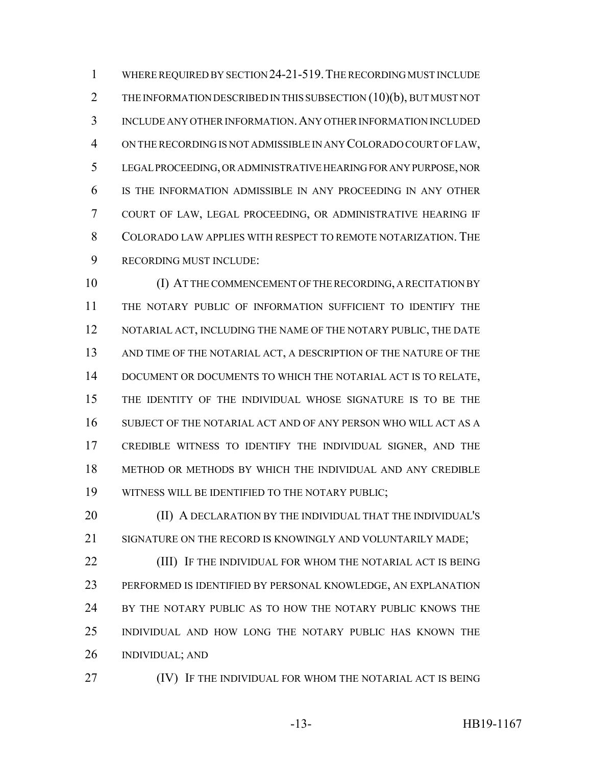WHERE REQUIRED BY SECTION 24-21-519.THE RECORDING MUST INCLUDE 2 THE INFORMATION DESCRIBED IN THIS SUBSECTION (10)(b), BUT MUST NOT INCLUDE ANY OTHER INFORMATION.ANY OTHER INFORMATION INCLUDED ON THE RECORDING IS NOT ADMISSIBLE IN ANY COLORADO COURT OF LAW, LEGAL PROCEEDING, OR ADMINISTRATIVE HEARING FOR ANY PURPOSE, NOR IS THE INFORMATION ADMISSIBLE IN ANY PROCEEDING IN ANY OTHER COURT OF LAW, LEGAL PROCEEDING, OR ADMINISTRATIVE HEARING IF COLORADO LAW APPLIES WITH RESPECT TO REMOTE NOTARIZATION. THE RECORDING MUST INCLUDE:

 (I) AT THE COMMENCEMENT OF THE RECORDING, A RECITATION BY THE NOTARY PUBLIC OF INFORMATION SUFFICIENT TO IDENTIFY THE 12 NOTARIAL ACT, INCLUDING THE NAME OF THE NOTARY PUBLIC, THE DATE 13 AND TIME OF THE NOTARIAL ACT, A DESCRIPTION OF THE NATURE OF THE DOCUMENT OR DOCUMENTS TO WHICH THE NOTARIAL ACT IS TO RELATE, THE IDENTITY OF THE INDIVIDUAL WHOSE SIGNATURE IS TO BE THE SUBJECT OF THE NOTARIAL ACT AND OF ANY PERSON WHO WILL ACT AS A CREDIBLE WITNESS TO IDENTIFY THE INDIVIDUAL SIGNER, AND THE METHOD OR METHODS BY WHICH THE INDIVIDUAL AND ANY CREDIBLE WITNESS WILL BE IDENTIFIED TO THE NOTARY PUBLIC;

**(II) A DECLARATION BY THE INDIVIDUAL THAT THE INDIVIDUAL'S** 21 SIGNATURE ON THE RECORD IS KNOWINGLY AND VOLUNTARILY MADE;

**(III)** IF THE INDIVIDUAL FOR WHOM THE NOTARIAL ACT IS BEING PERFORMED IS IDENTIFIED BY PERSONAL KNOWLEDGE, AN EXPLANATION BY THE NOTARY PUBLIC AS TO HOW THE NOTARY PUBLIC KNOWS THE INDIVIDUAL AND HOW LONG THE NOTARY PUBLIC HAS KNOWN THE INDIVIDUAL; AND

**IV)** IF THE INDIVIDUAL FOR WHOM THE NOTARIAL ACT IS BEING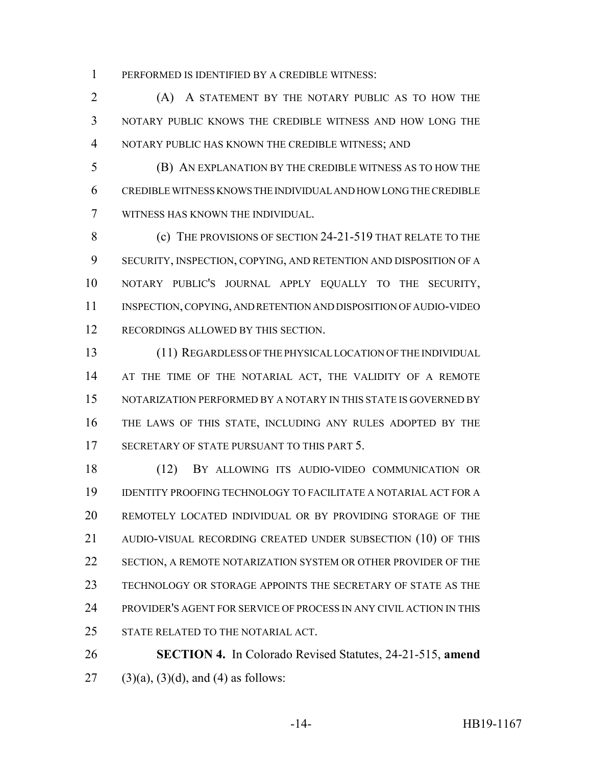PERFORMED IS IDENTIFIED BY A CREDIBLE WITNESS:

 (A) A STATEMENT BY THE NOTARY PUBLIC AS TO HOW THE NOTARY PUBLIC KNOWS THE CREDIBLE WITNESS AND HOW LONG THE NOTARY PUBLIC HAS KNOWN THE CREDIBLE WITNESS; AND

 (B) AN EXPLANATION BY THE CREDIBLE WITNESS AS TO HOW THE CREDIBLE WITNESS KNOWS THE INDIVIDUAL AND HOW LONG THE CREDIBLE WITNESS HAS KNOWN THE INDIVIDUAL.

**(c)** THE PROVISIONS OF SECTION 24-21-519 THAT RELATE TO THE SECURITY, INSPECTION, COPYING, AND RETENTION AND DISPOSITION OF A NOTARY PUBLIC'S JOURNAL APPLY EQUALLY TO THE SECURITY, INSPECTION, COPYING, AND RETENTION AND DISPOSITION OF AUDIO-VIDEO RECORDINGS ALLOWED BY THIS SECTION.

 (11) REGARDLESS OF THE PHYSICAL LOCATION OF THE INDIVIDUAL 14 AT THE TIME OF THE NOTARIAL ACT, THE VALIDITY OF A REMOTE NOTARIZATION PERFORMED BY A NOTARY IN THIS STATE IS GOVERNED BY THE LAWS OF THIS STATE, INCLUDING ANY RULES ADOPTED BY THE 17 SECRETARY OF STATE PURSUANT TO THIS PART 5.

 (12) BY ALLOWING ITS AUDIO-VIDEO COMMUNICATION OR IDENTITY PROOFING TECHNOLOGY TO FACILITATE A NOTARIAL ACT FOR A REMOTELY LOCATED INDIVIDUAL OR BY PROVIDING STORAGE OF THE AUDIO-VISUAL RECORDING CREATED UNDER SUBSECTION (10) OF THIS 22 SECTION, A REMOTE NOTARIZATION SYSTEM OR OTHER PROVIDER OF THE TECHNOLOGY OR STORAGE APPOINTS THE SECRETARY OF STATE AS THE PROVIDER'S AGENT FOR SERVICE OF PROCESS IN ANY CIVIL ACTION IN THIS STATE RELATED TO THE NOTARIAL ACT.

 **SECTION 4.** In Colorado Revised Statutes, 24-21-515, **amend** 27 (3)(a), (3)(d), and (4) as follows: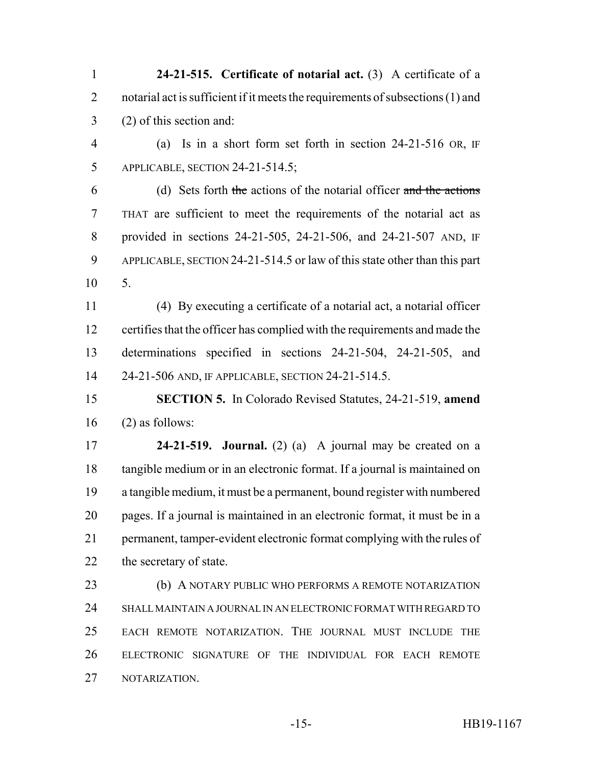**24-21-515. Certificate of notarial act.** (3) A certificate of a 2 notarial act is sufficient if it meets the requirements of subsections (1) and (2) of this section and:

 (a) Is in a short form set forth in section 24-21-516 OR, IF APPLICABLE, SECTION 24-21-514.5;

 (d) Sets forth the actions of the notarial officer and the actions THAT are sufficient to meet the requirements of the notarial act as provided in sections 24-21-505, 24-21-506, and 24-21-507 AND, IF APPLICABLE, SECTION 24-21-514.5 or law of this state other than this part 5.

 (4) By executing a certificate of a notarial act, a notarial officer certifies that the officer has complied with the requirements and made the determinations specified in sections 24-21-504, 24-21-505, and 24-21-506 AND, IF APPLICABLE, SECTION 24-21-514.5.

 **SECTION 5.** In Colorado Revised Statutes, 24-21-519, **amend** (2) as follows:

 **24-21-519. Journal.** (2) (a) A journal may be created on a tangible medium or in an electronic format. If a journal is maintained on a tangible medium, it must be a permanent, bound register with numbered pages. If a journal is maintained in an electronic format, it must be in a permanent, tamper-evident electronic format complying with the rules of the secretary of state.

**(b) A NOTARY PUBLIC WHO PERFORMS A REMOTE NOTARIZATION**  SHALL MAINTAIN A JOURNAL IN AN ELECTRONIC FORMAT WITH REGARD TO EACH REMOTE NOTARIZATION. THE JOURNAL MUST INCLUDE THE ELECTRONIC SIGNATURE OF THE INDIVIDUAL FOR EACH REMOTE NOTARIZATION.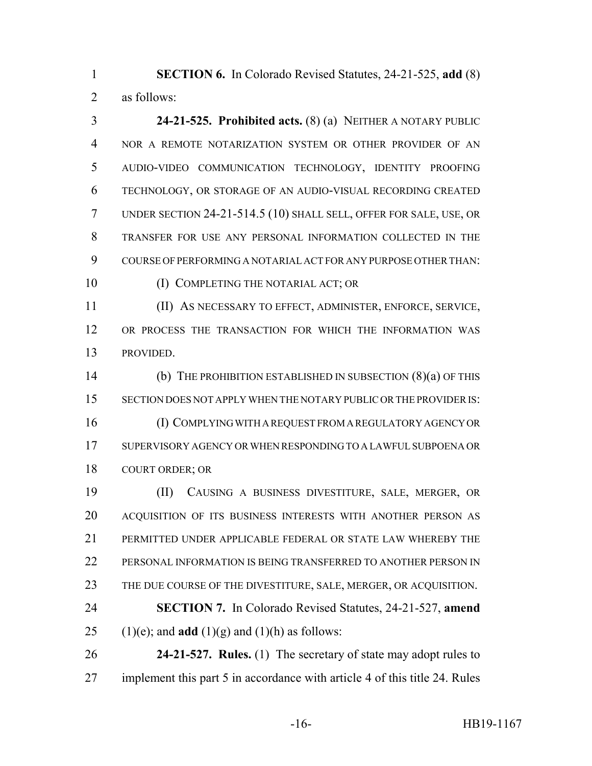**SECTION 6.** In Colorado Revised Statutes, 24-21-525, **add** (8) as follows:

 **24-21-525. Prohibited acts.** (8) (a) NEITHER A NOTARY PUBLIC NOR A REMOTE NOTARIZATION SYSTEM OR OTHER PROVIDER OF AN AUDIO-VIDEO COMMUNICATION TECHNOLOGY, IDENTITY PROOFING TECHNOLOGY, OR STORAGE OF AN AUDIO-VISUAL RECORDING CREATED UNDER SECTION 24-21-514.5 (10) SHALL SELL, OFFER FOR SALE, USE, OR TRANSFER FOR USE ANY PERSONAL INFORMATION COLLECTED IN THE COURSE OF PERFORMING A NOTARIAL ACT FOR ANY PURPOSE OTHER THAN: 10 (I) COMPLETING THE NOTARIAL ACT; OR

 (II) AS NECESSARY TO EFFECT, ADMINISTER, ENFORCE, SERVICE, OR PROCESS THE TRANSACTION FOR WHICH THE INFORMATION WAS PROVIDED.

 (b) THE PROHIBITION ESTABLISHED IN SUBSECTION (8)(a) OF THIS SECTION DOES NOT APPLY WHEN THE NOTARY PUBLIC OR THE PROVIDER IS: (I) COMPLYING WITH A REQUEST FROM A REGULATORY AGENCY OR SUPERVISORY AGENCY OR WHEN RESPONDING TO A LAWFUL SUBPOENA OR COURT ORDER; OR

 (II) CAUSING A BUSINESS DIVESTITURE, SALE, MERGER, OR ACQUISITION OF ITS BUSINESS INTERESTS WITH ANOTHER PERSON AS PERMITTED UNDER APPLICABLE FEDERAL OR STATE LAW WHEREBY THE PERSONAL INFORMATION IS BEING TRANSFERRED TO ANOTHER PERSON IN THE DUE COURSE OF THE DIVESTITURE, SALE, MERGER, OR ACQUISITION. **SECTION 7.** In Colorado Revised Statutes, 24-21-527, **amend** 25 (1)(e); and **add** (1)(g) and (1)(h) as follows:

 **24-21-527. Rules.** (1) The secretary of state may adopt rules to implement this part 5 in accordance with article 4 of this title 24. Rules